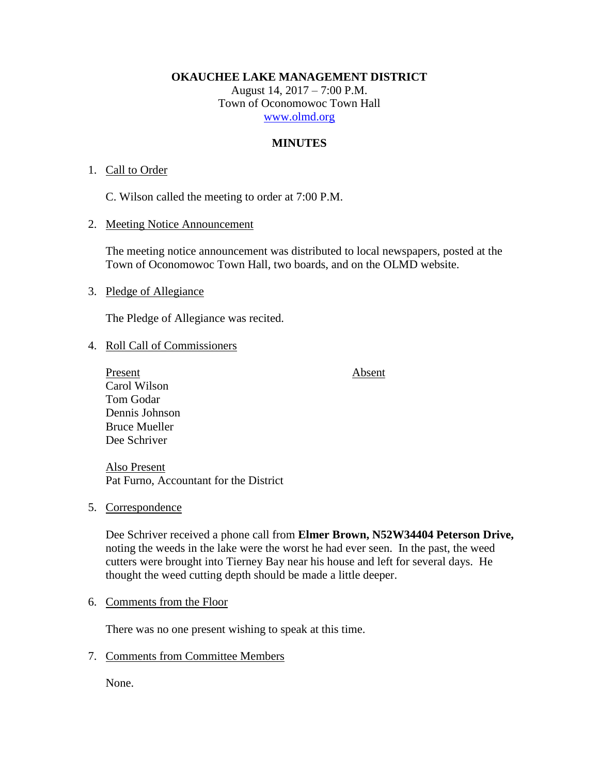**OKAUCHEE LAKE MANAGEMENT DISTRICT**

August 14, 2017 – 7:00 P.M. Town of Oconomowoc Town Hall [www.olmd.org](http://www.olmd.org/)

# **MINUTES**

# 1. Call to Order

C. Wilson called the meeting to order at 7:00 P.M.

2. Meeting Notice Announcement

The meeting notice announcement was distributed to local newspapers, posted at the Town of Oconomowoc Town Hall, two boards, and on the OLMD website.

3. Pledge of Allegiance

The Pledge of Allegiance was recited.

# 4. Roll Call of Commissioners

Present Absent Carol Wilson Tom Godar Dennis Johnson Bruce Mueller Dee Schriver

Also Present Pat Furno, Accountant for the District

5. Correspondence

Dee Schriver received a phone call from **Elmer Brown, N52W34404 Peterson Drive,** noting the weeds in the lake were the worst he had ever seen. In the past, the weed cutters were brought into Tierney Bay near his house and left for several days. He thought the weed cutting depth should be made a little deeper.

# 6. Comments from the Floor

There was no one present wishing to speak at this time.

7. Comments from Committee Members

None.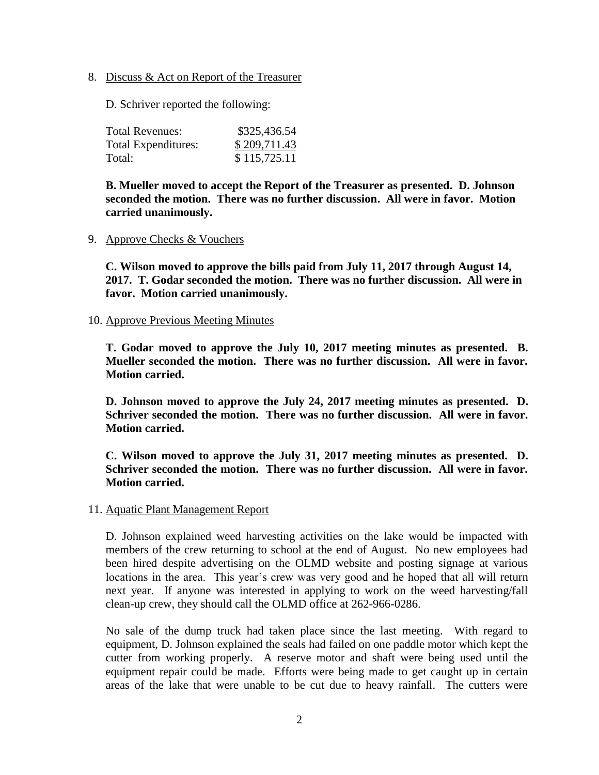8. Discuss & Act on Report of the Treasurer

D. Schriver reported the following:

| <b>Total Revenues:</b>     | \$325,436.54 |
|----------------------------|--------------|
| <b>Total Expenditures:</b> | \$209,711.43 |
| Total:                     | \$115,725.11 |

**B. Mueller moved to accept the Report of the Treasurer as presented. D. Johnson seconded the motion. There was no further discussion. All were in favor. Motion carried unanimously.**

#### 9. Approve Checks & Vouchers

**C. Wilson moved to approve the bills paid from July 11, 2017 through August 14, 2017. T. Godar seconded the motion. There was no further discussion. All were in favor. Motion carried unanimously.**

#### 10. Approve Previous Meeting Minutes

**T. Godar moved to approve the July 10, 2017 meeting minutes as presented. B. Mueller seconded the motion. There was no further discussion. All were in favor. Motion carried.**

**D. Johnson moved to approve the July 24, 2017 meeting minutes as presented. D. Schriver seconded the motion. There was no further discussion. All were in favor. Motion carried.**

**C. Wilson moved to approve the July 31, 2017 meeting minutes as presented. D. Schriver seconded the motion. There was no further discussion. All were in favor. Motion carried.**

#### 11. Aquatic Plant Management Report

D. Johnson explained weed harvesting activities on the lake would be impacted with members of the crew returning to school at the end of August. No new employees had been hired despite advertising on the OLMD website and posting signage at various locations in the area. This year's crew was very good and he hoped that all will return next year. If anyone was interested in applying to work on the weed harvesting/fall clean-up crew, they should call the OLMD office at 262-966-0286.

No sale of the dump truck had taken place since the last meeting. With regard to equipment, D. Johnson explained the seals had failed on one paddle motor which kept the cutter from working properly. A reserve motor and shaft were being used until the equipment repair could be made. Efforts were being made to get caught up in certain areas of the lake that were unable to be cut due to heavy rainfall. The cutters were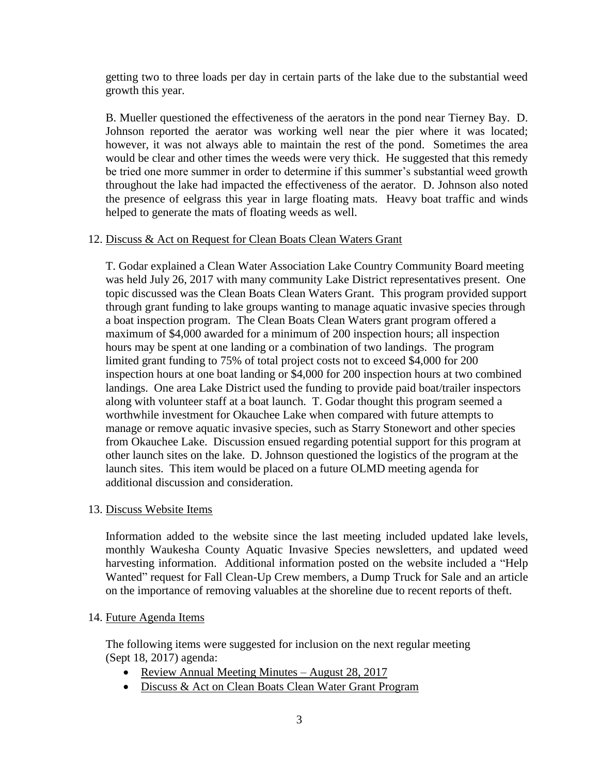getting two to three loads per day in certain parts of the lake due to the substantial weed growth this year.

B. Mueller questioned the effectiveness of the aerators in the pond near Tierney Bay. D. Johnson reported the aerator was working well near the pier where it was located; however, it was not always able to maintain the rest of the pond. Sometimes the area would be clear and other times the weeds were very thick. He suggested that this remedy be tried one more summer in order to determine if this summer's substantial weed growth throughout the lake had impacted the effectiveness of the aerator. D. Johnson also noted the presence of eelgrass this year in large floating mats. Heavy boat traffic and winds helped to generate the mats of floating weeds as well.

# 12. Discuss & Act on Request for Clean Boats Clean Waters Grant

T. Godar explained a Clean Water Association Lake Country Community Board meeting was held July 26, 2017 with many community Lake District representatives present. One topic discussed was the Clean Boats Clean Waters Grant. This program provided support through grant funding to lake groups wanting to manage aquatic invasive species through a boat inspection program. The Clean Boats Clean Waters grant program offered a maximum of \$4,000 awarded for a minimum of 200 inspection hours; all inspection hours may be spent at one landing or a combination of two landings. The program limited grant funding to 75% of total project costs not to exceed \$4,000 for 200 inspection hours at one boat landing or \$4,000 for 200 inspection hours at two combined landings. One area Lake District used the funding to provide paid boat/trailer inspectors along with volunteer staff at a boat launch. T. Godar thought this program seemed a worthwhile investment for Okauchee Lake when compared with future attempts to manage or remove aquatic invasive species, such as Starry Stonewort and other species from Okauchee Lake. Discussion ensued regarding potential support for this program at other launch sites on the lake. D. Johnson questioned the logistics of the program at the launch sites. This item would be placed on a future OLMD meeting agenda for additional discussion and consideration.

# 13. Discuss Website Items

Information added to the website since the last meeting included updated lake levels, monthly Waukesha County Aquatic Invasive Species newsletters, and updated weed harvesting information. Additional information posted on the website included a "Help Wanted" request for Fall Clean-Up Crew members, a Dump Truck for Sale and an article on the importance of removing valuables at the shoreline due to recent reports of theft.

# 14. Future Agenda Items

The following items were suggested for inclusion on the next regular meeting (Sept 18, 2017) agenda:

- Review Annual Meeting Minutes August 28, 2017
- Discuss & Act on Clean Boats Clean Water Grant Program